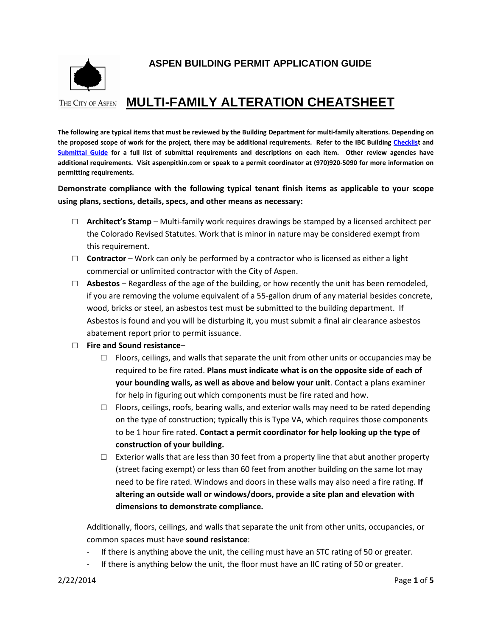

# **ASPEN BUILDING PERMIT APPLICATION GUIDE**

# **THE CITY OF ASPEN MULTI-FAMILY ALTERATION CHEATSHEET**

**The following are typical items that must be reviewed by the Building Department for multi-family alterations. Depending on the proposed scope of work for the project, there may be additional requirements. Refer to the IBC Building [Checklist](http://www.aspenpitkin.com/Portals/0/docs/City/Comdev/Building%20Checklists/IBC-BuildingChecklistDraft8-28.pdf) and [Submittal Guide](http://www.aspenpitkin.com/Portals/0/docs/City/Comdev/Building%20Checklists/IBC-BuildingSubmittalGuideDraft8-28.pdf) for a full list of submittal requirements and descriptions on each item. Other review agencies have additional requirements. Visit aspenpitkin.com or speak to a permit coordinator at (970)920-5090 for more information on permitting requirements.** 

**Demonstrate compliance with the following typical tenant finish items as applicable to your scope using plans, sections, details, specs, and other means as necessary:**

- □ **Architect's Stamp** Multi-family work requires drawings be stamped by a licensed architect per the Colorado Revised Statutes. Work that is minor in nature may be considered exempt from this requirement.
- □ **Contractor** Work can only be performed by a contractor who is licensed as either a light commercial or unlimited contractor with the City of Aspen.
- □ **Asbestos** Regardless of the age of the building, or how recently the unit has been remodeled, if you are removing the volume equivalent of a 55-gallon drum of any material besides concrete, wood, bricks or steel, an asbestos test must be submitted to the building department. If Asbestos is found and you will be disturbing it, you must submit a final air clearance asbestos abatement report prior to permit issuance.

#### □ **Fire and Sound resistance**–

- $\Box$  Floors, ceilings, and walls that separate the unit from other units or occupancies may be required to be fire rated. **Plans must indicate what is on the opposite side of each of your bounding walls, as well as above and below your unit**. Contact a plans examiner for help in figuring out which components must be fire rated and how.
- $\Box$  Floors, ceilings, roofs, bearing walls, and exterior walls may need to be rated depending on the type of construction; typically this is Type VA, which requires those components to be 1 hour fire rated. **Contact a permit coordinator for help looking up the type of construction of your building.**
- $\Box$  Exterior walls that are less than 30 feet from a property line that abut another property (street facing exempt) or less than 60 feet from another building on the same lot may need to be fire rated. Windows and doors in these walls may also need a fire rating. **If altering an outside wall or windows/doors, provide a site plan and elevation with dimensions to demonstrate compliance.**

Additionally, floors, ceilings, and walls that separate the unit from other units, occupancies, or common spaces must have **sound resistance**:

- If there is anything above the unit, the ceiling must have an STC rating of 50 or greater.
- If there is anything below the unit, the floor must have an IIC rating of 50 or greater.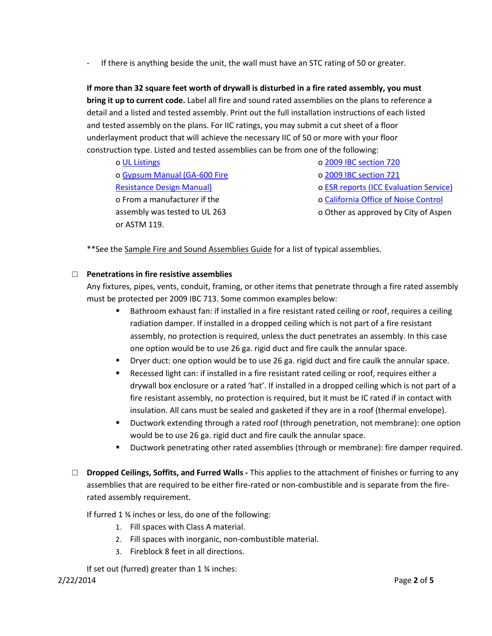- If there is anything beside the unit, the wall must have an STC rating of 50 or greater.

**If more than 32 square feet worth of drywall is disturbed in a fire rated assembly, you must bring it up to current code.** Label all fire and sound rated assemblies on the plans to reference a detail and a listed and tested assembly. Print out the full installation instructions of each listed and tested assembly on the plans. For IIC ratings, you may submit a cut sheet of a floor underlayment product that will achieve the necessary IIC of 50 or more with your floor construction type. Listed and tested assemblies can be from one of the following:

o [UL Listings](http://database.ul.com/cgi-bin/ulweb/LISEXT/1FRAME/FireResistanceWizard.html) o [Gypsum Manual \(GA-600 Fire](https://bulk.resource.org/codes.gov/bsc.ca.gov/sibr/org.gypsum.GA-600-09.pdf)  [Resistance Design Manual\)](https://bulk.resource.org/codes.gov/bsc.ca.gov/sibr/org.gypsum.GA-600-09.pdf) o From a manufacturer if the assembly was tested to UL 263 or ASTM 119.

o [2009 IBC section 720](http://publicecodes.cyberregs.com/icod/ibc/2009/icod_ibc_2009_7_sec020.htm)

o [2009 IBC section 721](http://publicecodes.cyberregs.com/icod/ibc/2009/icod_ibc_2009_7_sec021.htm)

o [ESR reports \(ICC Evaluation Service\)](http://www.icc-es.org/Evaluation_Reports/)

o [California Office of Noise Control](http://www.toolbase.org/PDF/CaseStudies/stc_icc_ratings.pdf)

o Other as approved by City of Aspen

\*\* See the Sample Fire and Sound Assemblies Guide for a list of typical assemblies.

### □ **Penetrations in fire resistive assemblies**

Any fixtures, pipes, vents, conduit, framing, or other items that penetrate through a fire rated assembly must be protected per 2009 IBC 713. Some common examples below:

- **Bathroom exhaust fan: if installed in a fire resistant rated ceiling or roof, requires a ceiling** radiation damper. If installed in a dropped ceiling which is not part of a fire resistant assembly, no protection is required, unless the duct penetrates an assembly. In this case one option would be to use 26 ga. rigid duct and fire caulk the annular space.
- **Dryer duct: one option would be to use 26 ga. rigid duct and fire caulk the annular space.**
- Recessed light can: if installed in a fire resistant rated ceiling or roof, requires either a drywall box enclosure or a rated 'hat'. If installed in a dropped ceiling which is not part of a fire resistant assembly, no protection is required, but it must be IC rated if in contact with insulation. All cans must be sealed and gasketed if they are in a roof (thermal envelope).
- Ductwork extending through a rated roof (through penetration, not membrane): one option would be to use 26 ga. rigid duct and fire caulk the annular space.
- Ductwork penetrating other rated assemblies (through or membrane): fire damper required.
- □ **Dropped Ceilings, Soffits, and Furred Walls -** This applies to the attachment of finishes or furring to any assemblies that are required to be either fire-rated or non-combustible and is separate from the firerated assembly requirement.

If furred 1 ¾ inches or less, do one of the following:

- 1. Fill spaces with Class A material.
- 2. Fill spaces with inorganic, non-combustible material.
- 3. Fireblock 8 feet in all directions.

If set out (furred) greater than 1 ¾ inches: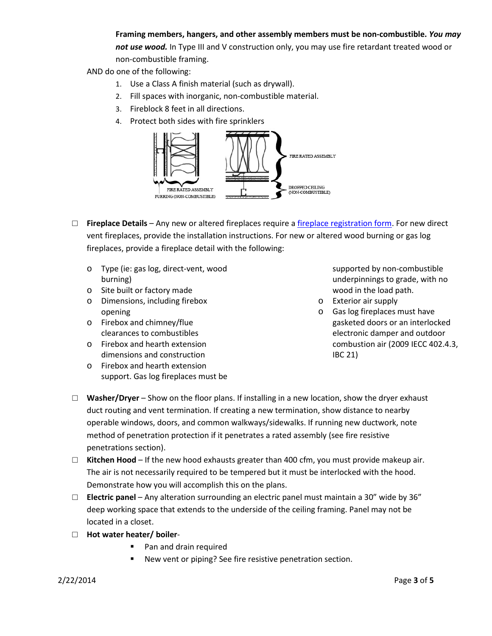## **Framing members, hangers, and other assembly members must be non-combustible.** *You may*

*not use wood.* In Type III and V construction only, you may use fire retardant treated wood or non-combustible framing.

AND do one of the following:

- 1. Use a Class A finish material (such as drywall).
- 2. Fill spaces with inorganic, non-combustible material.
- 3. Fireblock 8 feet in all directions.
- 4. Protect both sides with fire sprinklers



- □ **Fireplace Details** Any new or altered fireplaces require a [fireplace registration form.](http://www.aspenpitkin.com/Portals/0/docs/businessnav/BuildorRemodel/Fireplace%20OR%20Woodstove%20Registration.pdf) For new direct vent fireplaces, provide the installation instructions. For new or altered wood burning or gas log fireplaces, provide a fireplace detail with the following:
	- o Type (ie: gas log, direct-vent, wood burning)
	- o Site built or factory made
	- o Dimensions, including firebox opening
	- o Firebox and chimney/flue clearances to combustibles
	- o Firebox and hearth extension dimensions and construction
	- o Firebox and hearth extension support. Gas log fireplaces must be

supported by non-combustible underpinnings to grade, with no wood in the load path.

- o Exterior air supply
- o Gas log fireplaces must have gasketed doors or an interlocked electronic damper and outdoor combustion air (2009 IECC 402.4.3, IBC 21)
- □ **Washer/Dryer** Show on the floor plans. If installing in a new location, show the dryer exhaust duct routing and vent termination. If creating a new termination, show distance to nearby operable windows, doors, and common walkways/sidewalks. If running new ductwork, note method of penetration protection if it penetrates a rated assembly (see fire resistive penetrations section).
- □ **Kitchen Hood** If the new hood exhausts greater than 400 cfm, you must provide makeup air. The air is not necessarily required to be tempered but it must be interlocked with the hood. Demonstrate how you will accomplish this on the plans.
- □ **Electric panel** Any alteration surrounding an electric panel must maintain a 30" wide by 36" deep working space that extends to the underside of the ceiling framing. Panel may not be located in a closet.
- □ **Hot water heater/ boiler**
	- Pan and drain required
	- New vent or piping? See fire resistive penetration section.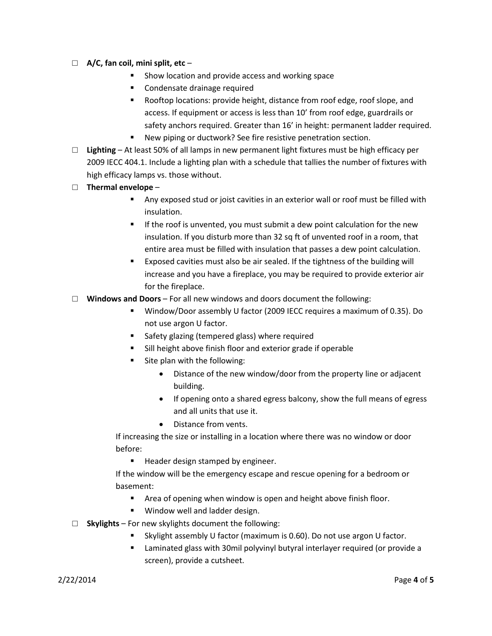- □ **A/C, fan coil, mini split, etc**
	- Show location and provide access and working space
	- Condensate drainage required
	- Rooftop locations: provide height, distance from roof edge, roof slope, and access. If equipment or access is less than 10' from roof edge, guardrails or safety anchors required. Greater than 16' in height: permanent ladder required.
	- New piping or ductwork? See fire resistive penetration section.
- □ **Lighting**  At least 50% of all lamps in new permanent light fixtures must be high efficacy per 2009 IECC 404.1. Include a lighting plan with a schedule that tallies the number of fixtures with high efficacy lamps vs. those without.
- □ **Thermal envelope**
	- Any exposed stud or joist cavities in an exterior wall or roof must be filled with insulation.
	- **If the roof is unvented, you must submit a dew point calculation for the new** insulation. If you disturb more than 32 sq ft of unvented roof in a room, that entire area must be filled with insulation that passes a dew point calculation.
	- Exposed cavities must also be air sealed. If the tightness of the building will increase and you have a fireplace, you may be required to provide exterior air for the fireplace.
- □ **Windows and Doors** For all new windows and doors document the following:
	- Window/Door assembly U factor (2009 IECC requires a maximum of 0.35). Do not use argon U factor.
	- **Safety glazing (tempered glass) where required**
	- Sill height above finish floor and exterior grade if operable
	- Site plan with the following:
		- Distance of the new window/door from the property line or adjacent building.
		- If opening onto a shared egress balcony, show the full means of egress and all units that use it.
		- Distance from vents.

If increasing the size or installing in a location where there was no window or door before:

**Header design stamped by engineer.** 

If the window will be the emergency escape and rescue opening for a bedroom or basement:

- Area of opening when window is open and height above finish floor.
- **Window well and ladder design.**
- □ **Skylights** For new skylights document the following:
	- Skylight assembly U factor (maximum is 0.60). Do not use argon U factor.
	- Laminated glass with 30mil polyvinyl butyral interlayer required (or provide a screen), provide a cutsheet.